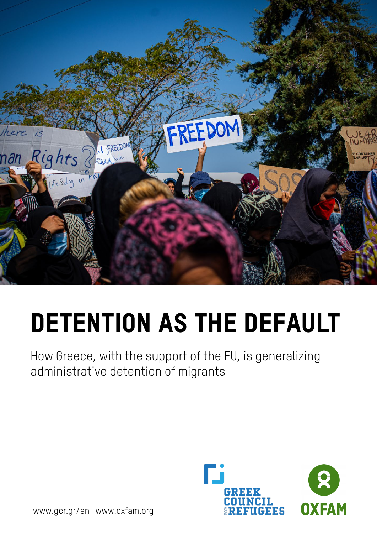

# Detention as the default

How Greece, with the support of the EU, is generalizing administrative detention of migrants



[www.gcr.gr/en](http://www.gcr.gr/en) [www.oxfam.org](http://www.oxfam.org/)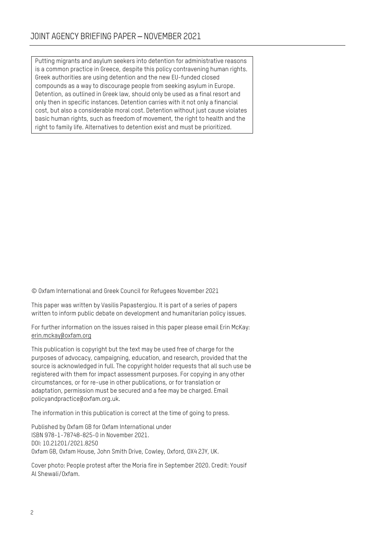Putting migrants and asylum seekers into detention for administrative reasons is a common practice in Greece, despite this policy contravening human rights. Greek authorities are using detention and the new EU-funded closed compounds as a way to discourage people from seeking asylum in Europe. Detention, as outlined in Greek law, should only be used as a final resort and only then in specific instances. Detention carries with it not only a financial cost, but also a considerable moral cost. Detention without just cause violates basic human rights, such as freedom of movement, the right to health and the right to family life. Alternatives to detention exist and must be prioritized.

© Oxfam International and Greek Council for Refugees November 2021

This paper was written by Vasilis Papastergiou. It is part of a series of papers written to inform public debate on development and humanitarian policy issues.

For further information on the issues raised in this paper please email Erin McKay: [erin.mckay@oxfam.org](mailto:erin.mckay@oxfam.org)

This publication is copyright but the text may be used free of charge for the purposes of advocacy, campaigning, education, and research, provided that the source is acknowledged in full. The copyright holder requests that all such use be registered with them for impact assessment purposes. For copying in any other circumstances, or for re-use in other publications, or for translation or adaptation, permission must be secured and a fee may be charged. Email policyandpractice@oxfam.org.uk.

The information in this publication is correct at the time of going to press.

Published by Oxfam GB for Oxfam International under ISBN 978-1-78748-825-0 in November 2021. DOI: 10.21201/2021.8250 Oxfam GB, Oxfam House, John Smith Drive, Cowley, Oxford, OX4 2JY, UK.

Cover photo: People protest after the Moria fire in September 2020. Credit: Yousif Al Shewali/Oxfam.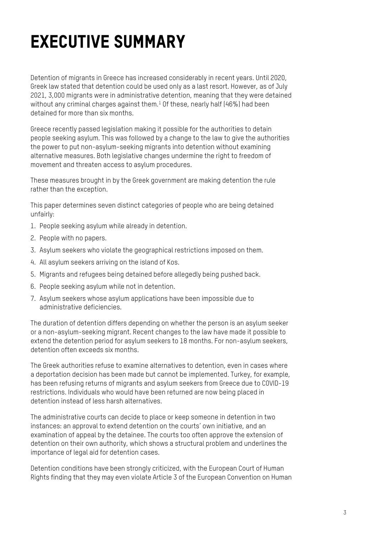## EXECUTIVE SUMMARY

Detention of migrants in Greece has increased considerably in recent years. Until 2020, Greek law stated that detention could be used only as a last resort. However, as of July 2021, 3,000 migrants were in administrative detention, meaning that they were detained without any criminal charges against them.<sup>[1](#page-26-0)</sup> Of these, nearly half (46%) had been detained for more than six months.

Greece recently passed legislation making it possible for the authorities to detain people seeking asylum. This was followed by a change to the law to give the authorities the power to put non-asylum-seeking migrants into detention without examining alternative measures. Both legislative changes undermine the right to freedom of movement and threaten access to asylum procedures.

These measures brought in by the Greek government are making detention the rule rather than the exception.

This paper determines seven distinct categories of people who are being detained unfairly:

- 1. People seeking asylum while already in detention.
- 2. People with no papers.
- 3. Asylum seekers who violate the geographical restrictions imposed on them.
- 4. All asylum seekers arriving on the island of Kos.
- 5. Migrants and refugees being detained before allegedly being pushed back.
- 6. People seeking asylum while not in detention.
- 7. Asylum seekers whose asylum applications have been impossible due to administrative deficiencies.

The duration of detention differs depending on whether the person is an asylum seeker or a non-asylum-seeking migrant. Recent changes to the law have made it possible to extend the detention period for asylum seekers to 18 months. For non-asylum seekers, detention often exceeds six months.

The Greek authorities refuse to examine alternatives to detention, even in cases where a deportation decision has been made but cannot be implemented. Turkey, for example, has been refusing returns of migrants and asylum seekers from Greece due to COVID-19 restrictions. Individuals who would have been returned are now being placed in detention instead of less harsh alternatives.

The administrative courts can decide to place or keep someone in detention in two instances: an approval to extend detention on the courts' own initiative, and an examination of appeal by the detainee. The courts too often approve the extension of detention on their own authority, which shows a structural problem and underlines the importance of legal aid for detention cases.

Detention conditions have been strongly criticized, with the European Court of Human Rights finding that they may even violate Article 3 of the European Convention on Human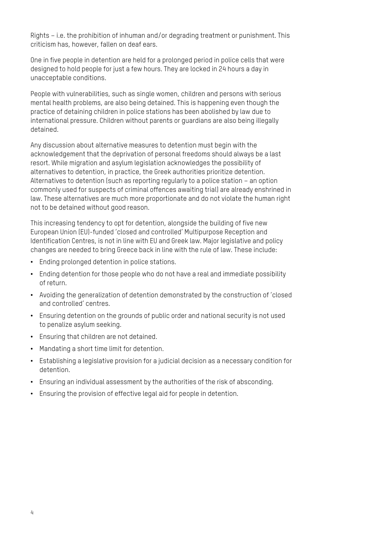Rights – i.e. the prohibition of inhuman and/or degrading treatment or punishment. This criticism has, however, fallen on deaf ears.

One in five people in detention are held for a prolonged period in police cells that were designed to hold people for just a few hours. They are locked in 24 hours a day in unacceptable conditions.

People with vulnerabilities, such as single women, children and persons with serious mental health problems, are also being detained. This is happening even though the practice of detaining children in police stations has been abolished by law due to international pressure. Children without parents or guardians are also being illegally detained.

Any discussion about alternative measures to detention must begin with the acknowledgement that the deprivation of personal freedoms should always be a last resort. While migration and asylum legislation acknowledges the possibility of alternatives to detention, in practice, the Greek authorities prioritize detention. Alternatives to detention (such as reporting regularly to a police station – an option commonly used for suspects of criminal offences awaiting trial) are already enshrined in law. These alternatives are much more proportionate and do not violate the human right not to be detained without good reason.

This increasing tendency to opt for detention, alongside the building of five new European Union (EU)-funded 'closed and controlled' Multipurpose Reception and Identification Centres, is not in line with EU and Greek law. Major legislative and policy changes are needed to bring Greece back in line with the rule of law. These include:

- Ending prolonged detention in police stations.
- Ending detention for those people who do not have a real and immediate possibility of return.
- Avoiding the generalization of detention demonstrated by the construction of 'closed and controlled' centres.
- Ensuring detention on the grounds of public order and national security is not used to penalize asylum seeking.
- Ensuring that children are not detained.
- Mandating a short time limit for detention.
- Establishing a legislative provision for a judicial decision as a necessary condition for detention.
- Ensuring an individual assessment by the authorities of the risk of absconding.
- Ensuring the provision of effective legal aid for people in detention.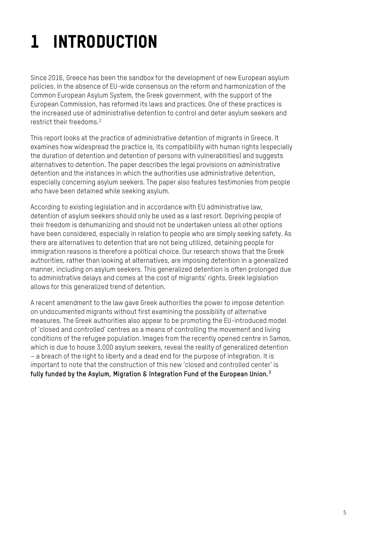## 1 INTRODUCTION

Since 2016, Greece has been the sandbox for the development of new European asylum policies. In the absence of EU-wide consensus on the reform and harmonization of the Common European Asylum System, the Greek government, with the support of the European Commission, has reformed its laws and practices. One of these practices is the increased use of administrative detention to control and deter asylum seekers and restrict their freedoms.<sup>[2](#page-26-1)</sup>

This report looks at the practice of administrative detention of migrants in Greece. It examines how widespread the practice is, its compatibility with human rights (especially the duration of detention and detention of persons with vulnerabilities) and suggests alternatives to detention. The paper describes the legal provisions on administrative detention and the instances in which the authorities use administrative detention, especially concerning asylum seekers. The paper also features testimonies from people who have been detained while seeking asylum.

According to existing legislation and in accordance with EU administrative law, detention of asylum seekers should only be used as a last resort. Depriving people of their freedom is dehumanizing and should not be undertaken unless all other options have been considered, especially in relation to people who are simply seeking safety. As there are alternatives to detention that are not being utilized, detaining people for immigration reasons is therefore a political choice. Our research shows that the Greek authorities, rather than looking at alternatives, are imposing detention in a generalized manner, including on asylum seekers. This generalized detention is often prolonged due to administrative delays and comes at the cost of migrants' rights. Greek legislation allows for this generalized trend of detention.

A recent amendment to the law gave Greek authorities the power to impose detention on undocumented migrants without first examining the possibility of alternative measures. The Greek authorities also appear to be promoting the EU-introduced model of 'closed and controlled' centres as a means of controlling the movement and living conditions of the refugee population. Images from the recently opened centre in Samos, which is due to house 3,000 asylum seekers, reveal the reality of generalized detention – a breach of the right to liberty and a dead end for the purpose of integration. It is important to note that the construction of this new 'closed and controlled center' is **fully funded by the Asylum, Migration & Integration Fund of the European Union.[3](#page-26-2)**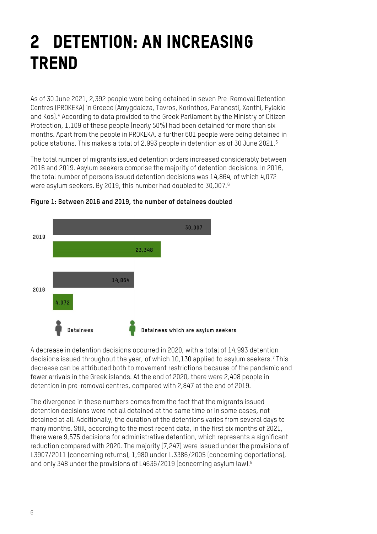## 2 DETENTION: AN INCREASING **TREND**

As of 30 June 2021, 2,392 people were being detained in seven Pre-Removal Detention Centres (PROKEKA) in Greece (Amygdaleza, Tavros, Korinthos, Paranesti, Xanthi, Fylakio and Kos).<sup>[4](#page-26-3)</sup> According to data provided to the Greek Parliament by the Ministry of Citizen Protection, 1,109 of these people (nearly 50%) had been detained for more than six months. Apart from the people in PROKEKA, a further 601 people were being detained in police stations. This makes a total of 2,993 people in detention as of 30 June 2021.[5](#page-26-4)

The total number of migrants issued detention orders increased considerably between 2016 and 2019. Asylum seekers comprise the majority of detention decisions. In 2016, the total number of persons issued detention decisions was 14,864, of which 4,072 were asylum seekers. By 2019, this number had doubled to 30,007. $^6$  $^6$ 



**Figure 1: Between 2016 and 2019, the number of detainees doubled** 

A decrease in detention decisions occurred in 2020, with a total of 14,993 detention decisions issued throughout the year, of which 10,130 applied to asylum seekers.[7](#page-26-6) This decrease can be attributed both to movement restrictions because of the pandemic and fewer arrivals in the Greek islands. At the end of 2020, there were 2,408 people in detention in pre-removal centres, compared with 2,847 at the end of 2019.

The divergence in these numbers comes from the fact that the migrants issued detention decisions were not all detained at the same time or in some cases, not detained at all. Additionally, the duration of the detentions varies from several days to many months. Still, according to the most recent data, in the first six months of 2021, there were 9,575 decisions for administrative detention, which represents a significant reduction compared with 2020. The majority (7,247) were issued under the provisions of L3907/2011 (concerning returns), 1,980 under L.3386/2005 (concerning deportations), and only 34[8](#page-26-7) under the provisions of L4636/2019 (concerning asylum law).<sup>8</sup>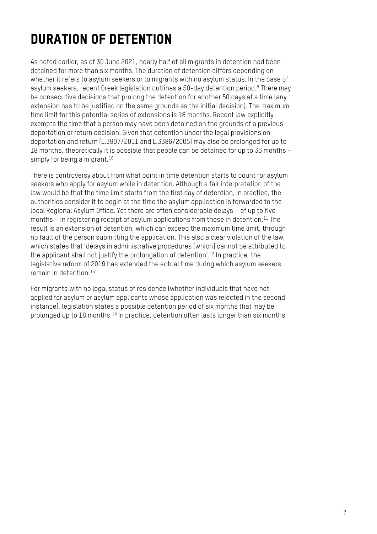## DURATION OF DETENTION

As noted earlier, as of 30 June 2021, nearly half of all migrants in detention had been detained for more than six months. The duration of detention differs depending on whether it refers to asylum seekers or to migrants with no asylum status. In the case of asylum seekers, recent Greek legislation outlines a 50-day detention period. [9](#page-26-8) There may be consecutive decisions that prolong the detention for another 50 days at a time (any extension has to be justified on the same grounds as the initial decision). The maximum time limit for this potential series of extensions is 18 months. Recent law explicitly exempts the time that a person may have been detained on the grounds of a previous deportation or return decision. Given that detention under the legal provisions on deportation and return (L.3907/2011 and L.3386/2005) may also be prolonged for up to 18 months, theoretically it is possible that people can be detained for up to 36 months – simply for being a migrant.<sup>[10](#page-26-9)</sup>

There is controversy about from what point in time detention starts to count for asylum seekers who apply for asylum while in detention. Although a fair interpretation of the law would be that the time limit starts from the first day of detention, in practice, the authorities consider it to begin at the time the asylum application is forwarded to the local Regional Asylum Office. Yet there are often considerable delays – of up to five months – in registering receipt of asylum applications from those in detention. [11](#page-26-10) The result is an extension of detention, which can exceed the maximum time limit, through no fault of the person submitting the application. This also a clear violation of the law, which states that 'delays in administrative procedures [which] cannot be attributed to the applicant shall not justify the prolongation of detention'. [12](#page-26-11) In practice, the legislative reform of 2019 has extended the actual time during which asylum seekers remain in detention. [13](#page-26-12)

For migrants with no legal status of residence (whether individuals that have not applied for asylum or asylum applicants whose application was rejected in the second instance), legislation states a possible detention period of six months that may be prolonged up to 18 months.<sup>[14](#page-26-13)</sup> In practice, detention often lasts longer than six months.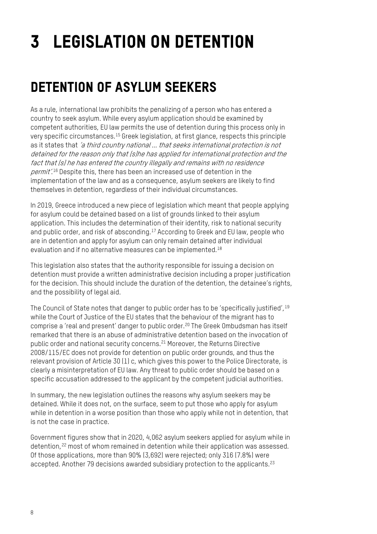## 3 LEGISLATION ON DETENTION

## DETENTION OF ASYLUM SEEKERS

As a rule, international law prohibits the penalizing of a person who has entered a country to seek asylum. While every asylum application should be examined by competent authorities, EU law permits the use of detention during this process only in very specific circumstances.[15](#page-26-14) Greek legislation, at first glance, respects this principle as it states that 'a third country national ... that seeks international protection is not detained for the reason only that (s)he has applied for international protection and the fact that (s) he has entered the country illegally and remains with no residence *permit'.* <sup>[16](#page-26-15)</sup> Despite this, there has been an increased use of detention in the implementation of the law and as a consequence, asylum seekers are likely to find themselves in detention, regardless of their individual circumstances.

In 2019, Greece introduced a new piece of legislation which meant that people applying for asylum could be detained based on a list of grounds linked to their asylum application. This includes the determination of their identity, risk to national security and public order, and risk of absconding.[17](#page-26-16) According to Greek and EU law, people who are in detention and apply for asylum can only remain detained after individual evaluation and if no alternative measures can be implemented.[18](#page-26-17)

This legislation also states that the authority responsible for issuing a decision on detention must provide a written administrative decision including a proper justification for the decision. This should include the duration of the detention, the detainee's rights, and the possibility of legal aid.

The Council of State notes that danger to public order has to be 'specifically justified', [19](#page-26-18) while the Court of Justice of the EU states that the behaviour of the migrant has to comprise a 'real and present' danger to public order.[20](#page-26-19) The Greek Ombudsman has itself remarked that there is an abuse of administrative detention based on the invocation of public order and national security concerns.[21](#page-26-20) Moreover, the Returns Directive 2008/115/EC does not provide for detention on public order grounds, and thus the relevant provision of Article 30 (1) c, which gives this power to the Police Directorate, is clearly a misinterpretation of EU law. Any threat to public order should be based on a specific accusation addressed to the applicant by the competent judicial authorities.

In summary, the new legislation outlines the reasons why asylum seekers may be detained. While it does not, on the surface, seem to put those who apply for asylum while in detention in a worse position than those who apply while not in detention, that is not the case in practice.

Government figures show that in 2020, 4,062 asylum seekers applied for asylum while in detention, <sup>[22](#page-26-21)</sup> most of whom remained in detention while their application was assessed. Of those applications, more than 90% (3,692) were rejected; only 316 (7.8%) were accepted. Another 79 decisions awarded subsidiary protection to the applicants.<sup>[23](#page-26-22)</sup>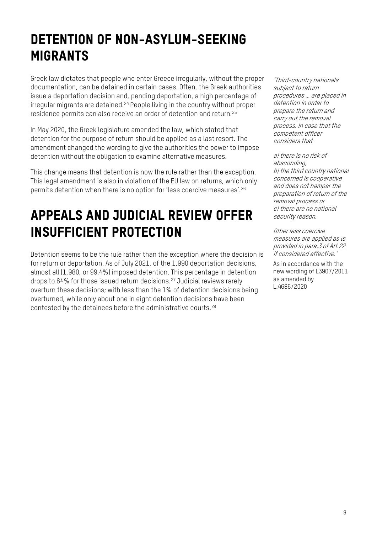## DETENTION OF NON-ASYLUM-SEEKING MIGRANTS

Greek law dictates that people who enter Greece irregularly, without the proper documentation, can be detained in certain cases. Often, the Greek authorities issue a deportation decision and, pending deportation, a high percentage of irregular migrants are detained. [24](#page-26-23) People living in the country without proper residence permits can also receive an order of detention and return. [25](#page-26-24)

In May 2020, the Greek legislature amended the law, which stated that detention for the purpose of return should be applied as a last resort. The amendment changed the wording to give the authorities the power to impose detention without the obligation to examine alternative measures.

This change means that detention is now the rule rather than the exception. This legal amendment is also in violation of the EU law on returns, which only permits detention when there is no option for 'less coercive measures'.[26](#page-26-25)

## APPEALS AND JUDICIAL REVIEW OFFER INSUFFICIENT PROTECTION

Detention seems to be the rule rather than the exception where the decision is for return or deportation. As of July 2021, of the 1,990 deportation decisions, almost all (1,980, or 99.4%) imposed detention. This percentage in detention drops to 64% for those issued return decisions. [27](#page-26-26) Judicial reviews rarely overturn these decisions; with less than the 1% of detention decisions being overturned, while only about one in eight detention decisions have been contested by the detainees before the administrative courts.<sup>[28](#page-27-0)</sup>

'Third-country nationals subject to return procedures … are placed in detention in order to prepare the return and carry out the removal process. In case that the competent officer considers that

a) there is no risk of absconding, b) the third country national concerned is cooperative and does not hamper the preparation of return of the removal process or c) there are no national security reason.

Other less coercive measures are applied as ιs provided in para.3 of Art.22 if considered effective.'

As in accordance with the new wording of L3907/2011 as amended by L.4686/2020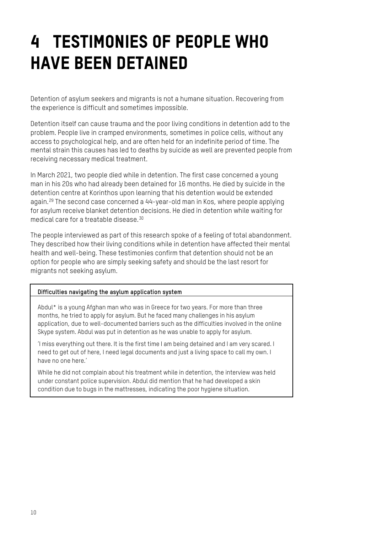## 4 TESTIMONIES OF PEOPLE WHO HAVE BEEN DETAINED

Detention of asylum seekers and migrants is not a humane situation. Recovering from the experience is difficult and sometimes impossible.

Detention itself can cause trauma and the poor living conditions in detention add to the problem. People live in cramped environments, sometimes in police cells, without any access to psychological help, and are often held for an indefinite period of time. The mental strain this causes has led to deaths by suicide as well are prevented people from receiving necessary medical treatment.

In March 2021, two people died while in detention. The first case concerned a young man in his 20s who had already been detained for 16 months. He died by suicide in the detention centre at Korinthos upon learning that his detention would be extended again. [29](#page-27-1) The second case concerned a 44-year-old man in Kos, where people applying for asylum receive blanket detention decisions. He died in detention while waiting for medical care for a treatable disease.[30](#page-27-2)

The people interviewed as part of this research spoke of a feeling of total abandonment. They described how their living conditions while in detention have affected their mental health and well-being. These testimonies confirm that detention should not be an option for people who are simply seeking safety and should be the last resort for migrants not seeking asylum.

#### **Difficulties navigating the asylum application system**

Abdul\* is a young Afghan man who was in Greece for two years. For more than three months, he tried to apply for asylum. But he faced many challenges in his asylum application, due to well-documented barriers such as the difficulties involved in the online Skype system. Abdul was put in detention as he was unable to apply for asylum.

'I miss everything out there. It is the first time I am being detained and I am very scared. I need to get out of here, I need legal documents and just a living space to call my own. I have no one here.'

While he did not complain about his treatment while in detention, the interview was held under constant police supervision. Abdul did mention that he had developed a skin condition due to bugs in the mattresses, indicating the poor hygiene situation.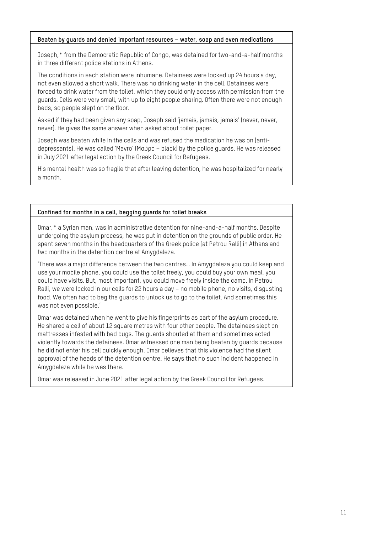#### **Beaten by guards and denied important resources – water, soap and even medications**

Joseph,\* from the Democratic Republic of Congo, was detained for two-and-a-half months in three different police stations in Athens.

The conditions in each station were inhumane. Detainees were locked up 24 hours a day, not even allowed a short walk. There was no drinking water in the cell. Detainees were forced to drink water from the toilet, which they could only access with permission from the guards. Cells were very small, with up to eight people sharing. Often there were not enough beds, so people slept on the floor.

Asked if they had been given any soap, Joseph said 'jamais, jamais, jamais' (never, never, never). He gives the same answer when asked about toilet paper.

Joseph was beaten while in the cells and was refused the medication he was on (antidepressants). He was called 'Mavro' (Μαύρο – black) by the police guards. He was released in July 2021 after legal action by the Greek Council for Refugees.

His mental health was so fragile that after leaving detention, he was hospitalized for nearly a month.

#### **Confined for months in a cell, begging guards for toilet breaks**

Omar,\* a Syrian man, was in administrative detention for nine-and-a-half months. Despite undergoing the asylum process, he was put in detention on the grounds of public order. He spent seven months in the headquarters of the Greek police (at Petrou Ralli) in Athens and two months in the detention centre at Amygdaleza.

'There was a major difference between the two centres… In Amygdaleza you could keep and use your mobile phone, you could use the toilet freely, you could buy your own meal, you could have visits. But, most important, you could move freely inside the camp. In Petrou Ralli, we were locked in our cells for 22 hours a day – no mobile phone, no visits, disgusting food. We often had to beg the guards to unlock us to go to the toilet. And sometimes this was not even possible.'

Omar was detained when he went to give his fingerprints as part of the asylum procedure. He shared a cell of about 12 square metres with four other people. The detainees slept on mattresses infested with bed bugs. The guards shouted at them and sometimes acted violently towards the detainees. Omar witnessed one man being beaten by guards because he did not enter his cell quickly enough. Omar believes that this violence had the silent approval of the heads of the detention centre. He says that no such incident happened in Amygdaleza while he was there.

Omar was released in June 2021 after legal action by the Greek Council for Refugees.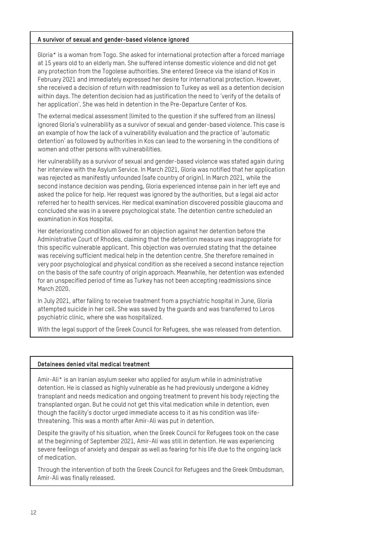#### **A survivor of sexual and gender-based violence ignored**

Gloria\* is a woman from Togo. She asked for international protection after a forced marriage at 15 years old to an elderly man. She suffered intense domestic violence and did not get any protection from the Togolese authorities. She entered Greece via the island of Kos in February 2021 and immediately expressed her desire for international protection. However, she received a decision of return with readmission to Turkey as well as a detention decision within days. The detention decision had as justification the need to 'verify of the details of her application'. She was held in detention in the Pre-Departure Center of Kos.

The external medical assessment (limited to the question if she suffered from an illness) ignored Gloria's vulnerability as a survivor of sexual and gender-based violence. This case is an example of how the lack of a vulnerability evaluation and the practice of 'automatic detention' as followed by authorities in Kos can lead to the worsening in the conditions of women and other persons with vulnerabilities.

Her vulnerability as a survivor of sexual and gender-based violence was stated again during her interview with the Asylum Service. In March 2021, Gloria was notified that her application was rejected as manifestly unfounded (safe country of origin). In March 2021, while the second instance decision was pending, Gloria experienced intense pain in her left eye and asked the police for help. Her request was ignored by the authorities, but a legal aid actor referred her to health services. Her medical examination discovered possible glaucoma and concluded she was in a severe psychological state. The detention centre scheduled an examination in Kos Hospital.

Her deteriorating condition allowed for an objection against her detention before the Administrative Court of Rhodes, claiming that the detention measure was inappropriate for this specific vulnerable applicant. This objection was overruled stating that the detainee was receiving sufficient medical help in the detention centre. She therefore remained in very poor psychological and physical condition as she received a second instance rejection on the basis of the safe country of origin approach. Meanwhile, her detention was extended for an unspecified period of time as Turkey has not been accepting readmissions since March 2020.

In July 2021, after failing to receive treatment from a psychiatric hospital in June, Gloria attempted suicide in her cell. She was saved by the guards and was transferred to Leros psychiatric clinic, where she was hospitalized.

With the legal support of the Greek Council for Refugees, she was released from detention.

#### **Detainees denied vital medical treatment**

Amir-Ali\* is an Iranian asylum seeker who applied for asylum while in administrative detention. He is classed as highly vulnerable as he had previously undergone a kidney transplant and needs medication and ongoing treatment to prevent his body rejecting the transplanted organ. But he could not get this vital medication while in detention, even though the facility's doctor urged immediate access to it as his condition was lifethreatening. This was a month after Amir-Ali was put in detention.

Despite the gravity of his situation, when the Greek Council for Refugees took on the case at the beginning of September 2021, Amir-Ali was still in detention. He was experiencing severe feelings of anxiety and despair as well as fearing for his life due to the ongoing lack of medication.

Through the intervention of both the Greek Council for Refugees and the Greek Ombudsman, Amir-Ali was finally released.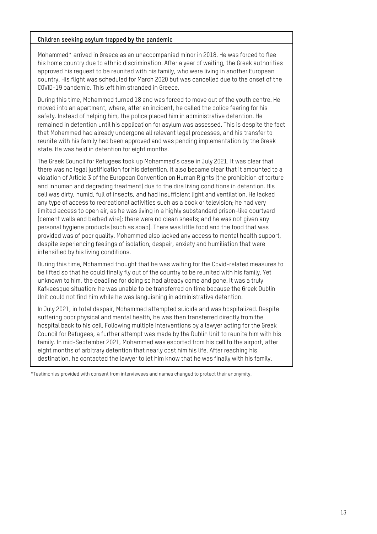#### **Children seeking asylum trapped by the pandemic**

Mohammed\* arrived in Greece as an unaccompanied minor in 2018. He was forced to flee his home country due to ethnic discrimination. After a year of waiting, the Greek authorities approved his request to be reunited with his family, who were living in another European country. His flight was scheduled for March 2020 but was cancelled due to the onset of the COVID-19 pandemic. This left him stranded in Greece.

During this time, Mohammed turned 18 and was forced to move out of the youth centre. He moved into an apartment, where, after an incident, he called the police fearing for his safety. Instead of helping him, the police placed him in administrative detention. He remained in detention until his application for asylum was assessed. This is despite the fact that Mohammed had already undergone all relevant legal processes, and his transfer to reunite with his family had been approved and was pending implementation by the Greek state. He was held in detention for eight months.

The Greek Council for Refugees took up Mohammed's case in July 2021. It was clear that there was no legal justification for his detention. It also became clear that it amounted to a violation of Article 3 of the European Convention on Human Rights (the prohibition of torture and inhuman and degrading treatment) due to the dire living conditions in detention. His cell was dirty, humid, full of insects, and had insufficient light and ventilation. He lacked any type of access to recreational activities such as a book or television; he had very limited access to open air, as he was living in a highly substandard prison-like courtyard (cement walls and barbed wire); there were no clean sheets; and he was not given any personal hygiene products (such as soap). There was little food and the food that was provided was of poor quality. Mohammed also lacked any access to mental health support, despite experiencing feelings of isolation, despair, anxiety and humiliation that were intensified by his living conditions.

During this time, Mohammed thought that he was waiting for the Covid-related measures to be lifted so that he could finally fly out of the country to be reunited with his family. Yet unknown to him, the deadline for doing so had already come and gone. It was a truly Kafkaesque situation: he was unable to be transferred on time because the Greek Dublin Unit could not find him while he was languishing in administrative detention.

In July 2021, in total despair, Mohammed attempted suicide and was hospitalized. Despite suffering poor physical and mental health, he was then transferred directly from the hospital back to his cell. Following multiple interventions by a lawyer acting for the Greek Council for Refugees, a further attempt was made by the Dublin Unit to reunite him with his family. In mid-September 2021, Mohammed was escorted from his cell to the airport, after eight months of arbitrary detention that nearly cost him his life. After reaching his destination, he contacted the lawyer to let him know that he was finally with his family.

\*Testimonies provided with consent from interviewees and names changed to protect their anonymity.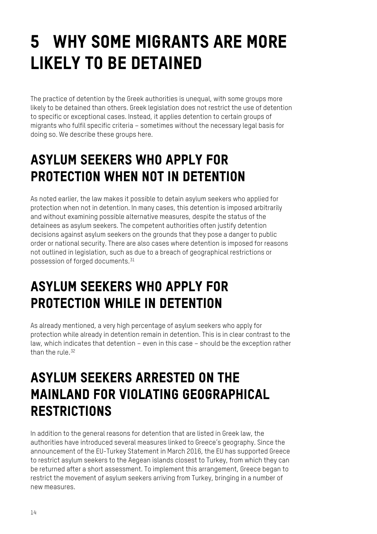## 5 WHY SOME MIGRANTS ARE MORE LIKELY TO BE DETAINED

The practice of detention by the Greek authorities is unequal, with some groups more likely to be detained than others. Greek legislation does not restrict the use of detention to specific or exceptional cases. Instead, it applies detention to certain groups of migrants who fulfil specific criteria – sometimes without the necessary legal basis for doing so. We describe these groups here.

## ASYLUM SEEKERS WHO APPLY FOR PROTECTION WHEN NOT IN DETENTION

As noted earlier, the law makes it possible to detain asylum seekers who applied for protection when not in detention. In many cases, this detention is imposed arbitrarily and without examining possible alternative measures, despite the status of the detainees as asylum seekers. The competent authorities often justify detention decisions against asylum seekers on the grounds that they pose a danger to public order or national security. There are also cases where detention is imposed for reasons not outlined in legislation, such as due to a breach of geographical restrictions or possession of forged documents.[31](#page-27-3)

## ASYLUM SEEKERS WHO APPLY FOR PROTECTION WHILE IN DETENTION

As already mentioned, a very high percentage of asylum seekers who apply for protection while already in detention remain in detention. This is in clear contrast to the law, which indicates that detention – even in this case – should be the exception rather than the rule. [32](#page-27-4)

#### ASYLUM SEEKERS ARRESTED ON THE MAINLAND FOR VIOLATING GEOGRAPHICAL **RESTRICTIONS**

In addition to the general reasons for detention that are listed in Greek law, the authorities have introduced several measures linked to Greece's geography. Since the announcement of the EU-Turkey Statement in March 2016, the EU has supported Greece to restrict asylum seekers to the Aegean islands closest to Turkey, from which they can be returned after a short assessment. To implement this arrangement, Greece began to restrict the movement of asylum seekers arriving from Turkey, bringing in a number of new measures.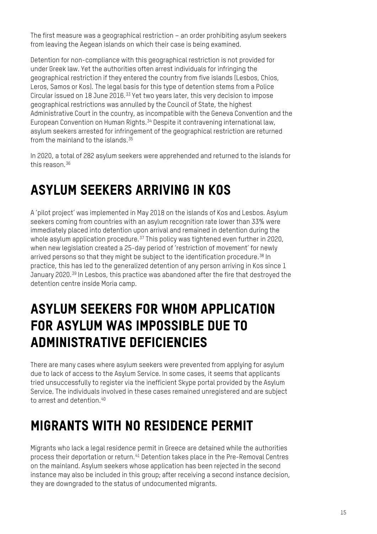The first measure was a geographical restriction – an order prohibiting asylum seekers from leaving the Aegean islands on which their case is being examined.

Detention for non-compliance with this geographical restriction is not provided for under Greek law. Yet the authorities often arrest individuals for infringing the geographical restriction if they entered the country from five islands (Lesbos, Chios, Leros, Samos or Kos). The legal basis for this type of detention stems from a Police Circular issued on 18 June 2016.[33](#page-27-5) Yet two years later, this very decision to impose geographical restrictions was annulled by the Council of State, the highest Administrative Court in the country, as incompatible with the Geneva Convention and the European Convention on Human Rights.<sup>[34](#page-27-6)</sup> Despite it contravening international law, asylum seekers arrested for infringement of the geographical restriction are returned from the mainland to the islands. $35$ 

In 2020, a total of 282 asylum seekers were apprehended and returned to the islands for this reason.[36](#page-27-8)

## ASYLUM SEEKERS ARRIVING IN KOS

A 'pilot project' was implemented in May 2018 on the islands of Kos and Lesbos. Asylum seekers coming from countries with an asylum recognition rate lower than 33% were immediately placed into detention upon arrival and remained in detention during the whole asylum application procedure.<sup>[37](#page-27-9)</sup> This policy was tightened even further in 2020, when new legislation created a 25-day period of 'restriction of movement' for newly arrived persons so that they might be subject to the identification procedure.<sup>[38](#page-27-10)</sup> In practice, this has led to the generalized detention of any person arriving in Kos since 1 January 2020.<sup>[39](#page-27-11)</sup> In Lesbos, this practice was abandoned after the fire that destroyed the detention centre inside Moria camp.

#### ASYLUM SEEKERS FOR WHOM APPLICATION FOR ASYLUM WAS IMPOSSIBLE DUE TO ADMINISTRATIVE DEFICIENCIES

There are many cases where asylum seekers were prevented from applying for asylum due to lack of access to the Asylum Service. In some cases, it seems that applicants tried unsuccessfully to register via the inefficient Skype portal provided by the Asylum Service. The individuals involved in these cases remained unregistered and are subject to arrest and detention [40](#page-27-12)

## MIGRANTS WITH NO RESIDENCE PERMIT

Migrants who lack a legal residence permit in Greece are detained while the authorities process their deportation or return.[41](#page-27-13) Detention takes place in the Pre-Removal Centres on the mainland. Asylum seekers whose application has been rejected in the second instance may also be included in this group; after receiving a second instance decision, they are downgraded to the status of undocumented migrants.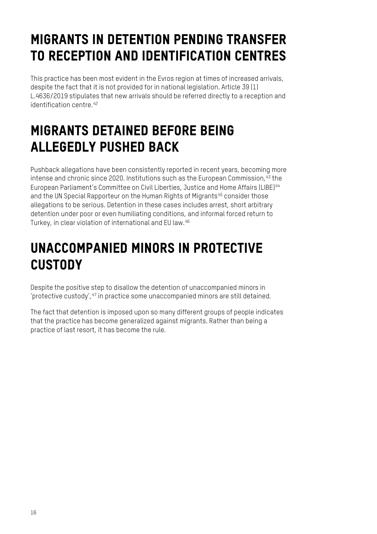## MIGRANTS IN DETENTION PENDING TRANSFER TO RECEPTION AND IDENTIFICATION CENTRES

This practice has been most evident in the Evros region at times of increased arrivals, despite the fact that it is not provided for in national legislation. Article 39 (1) L.4636/2019 stipulates that new arrivals should be referred directly to a reception and identification centre. [42](#page-27-14)

## MIGRANTS DETAINED BEFORE BEING ALLEGEDLY PUSHED BACK

Pushback allegations have been consistently reported in recent years, becoming more intense and chronic since 2020. Institutions such as the European Commission,  $43$  the European Parliament's Committee on Civil Liberties, Justice and Home Affairs (LIBE)[44](#page-27-16) and the UN Special Rapporteur on the Human Rights of Migrants<sup>[45](#page-27-17)</sup> consider those allegations to be serious. Detention in these cases includes arrest, short arbitrary detention under poor or even humiliating conditions, and informal forced return to Turkey, in clear violation of international and EU law. [46](#page-27-18)

### UNACCOMPANIED MINORS IN PROTECTIVE **CUSTODY**

Despite the positive step to disallow the detention of unaccompanied minors in 'protective custody',[47](#page-27-19) in practice some unaccompanied minors are still detained.

The fact that detention is imposed upon so many different groups of people indicates that the practice has become generalized against migrants. Rather than being a practice of last resort, it has become the rule.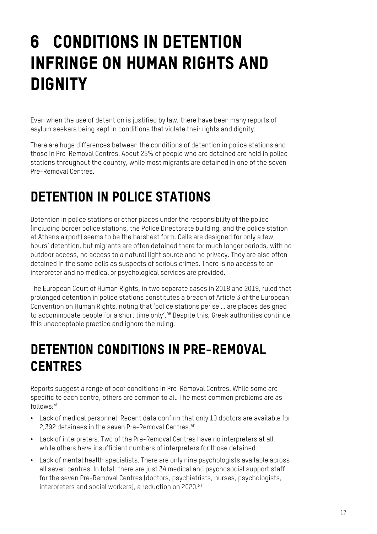## 6 CONDITIONS IN DETENTION INFRINGE ON HUMAN RIGHTS AND **DIGNITY**

Even when the use of detention is justified by law, there have been many reports of asylum seekers being kept in conditions that violate their rights and dignity.

There are huge differences between the conditions of detention in police stations and those in Pre-Removal Centres. About 25% of people who are detained are held in police stations throughout the country, while most migrants are detained in one of the seven Pre-Removal Centres.

## DETENTION IN POLICE STATIONS

Detention in police stations or other places under the responsibility of the police (including border police stations, the Police Directorate building, and the police station at Athens airport) seems to be the harshest form. Cells are designed for only a few hours' detention, but migrants are often detained there for much longer periods, with no outdoor access, no access to a natural light source and no privacy. They are also often detained in the same cells as suspects of serious crimes. There is no access to an interpreter and no medical or psychological services are provided.

The European Court of Human Rights, in two separate cases in 2018 and 2019, ruled that prolonged detention in police stations constitutes a breach of Article 3 of the European Convention on Human Rights, noting that 'police stations per se … are places designed to accommodate people for a short time only'. [48](#page-27-20) Despite this, Greek authorities continue this unacceptable practice and ignore the ruling.

### DETENTION CONDITIONS IN PRE-REMOVAL CENTRES

Reports suggest a range of poor conditions in Pre-Removal Centres. While some are specific to each centre, others are common to all. The most common problems are as follows:[49](#page-27-21)

- Lack of medical personnel. Recent data confirm that only 10 doctors are available for 2.392 detainees in the seven Pre-Removal Centres.<sup>[50](#page-27-22)</sup>
- Lack of interpreters. Two of the Pre-Removal Centres have no interpreters at all, while others have insufficient numbers of interpreters for those detained.
- Lack of mental health specialists. There are only nine psychologists available across all seven centres. In total, there are just 34 medical and psychosocial support staff for the seven Pre-Removal Centres (doctors, psychiatrists, nurses, psychologists, interpreters and social workers), a reduction on 2020.<sup>[51](#page-28-0)</sup>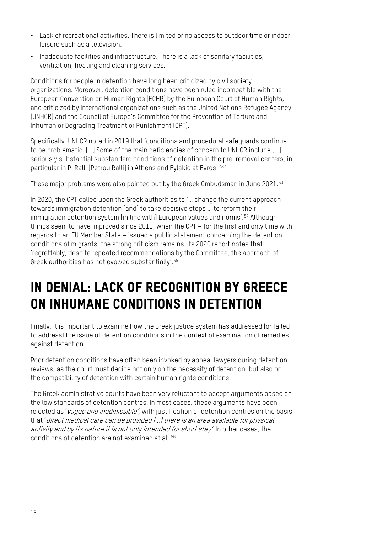- Lack of recreational activities. There is limited or no access to outdoor time or indoor leisure such as a television.
- Inadequate facilities and infrastructure. There is a lack of sanitary facilities, ventilation, heating and cleaning services.

Conditions for people in detention have long been criticized by civil society organizations. Moreover, detention conditions have been ruled incompatible with the European Convention on Human Rights (ECHR) by the European Court of Human Rights, and criticized by international organizations such as the United Nations Refugee Agency (UNHCR) and the Council of Europe's Committee for the Prevention of Torture and Inhuman or Degrading Treatment or Punishment (CPT).

Specifically, UNHCR noted in 2019 that 'conditions and procedural safeguards continue to be problematic. […] Some of the main deficiencies of concern to UNHCR include […] seriously substantial substandard conditions of detention in the pre-removal centers, in particular in P. Ralli [Petrou Ralli] in Athens and Fylakio at Evros.' [52](#page-28-1)

These major problems were also pointed out by the Greek Ombudsman in June 2021.<sup>[53](#page-28-2)</sup>

In 2020, the CPT called upon the Greek authorities to '… change the current approach towards immigration detention [and] to take decisive steps … to reform their immigration detention system [in line with] European values and norms'.<sup>[54](#page-28-3)</sup> Although things seem to have improved since 2011, when the CPT – for the first and only time with regards to an EU Member State – issued a public statement concerning the detention conditions of migrants, the strong criticism remains. Its 2020 report notes that 'regrettably, despite repeated recommendations by the Committee, the approach of Greek authorities has not evolved substantially'. [55](#page-28-4)

## IN DENIAL: LACK OF RECOGNITION BY GREECE ON INHUMANE CONDITIONS IN DETENTION

Finally, it is important to examine how the Greek justice system has addressed (or failed to address) the issue of detention conditions in the context of examination of remedies against detention.

Poor detention conditions have often been invoked by appeal lawyers during detention reviews, as the court must decide not only on the necessity of detention, but also on the compatibility of detention with certain human rights conditions.

The Greek administrative courts have been very reluctant to accept arguments based on the low standards of detention centres. In most cases, these arguments have been rejected as 'vague and inadmissible', with justification of detention centres on the basis that 'direct medical care can be provided […] there is an area available for physical activity and by its nature it is not only intended for short stay'. In other cases, the conditions of detention are not examined at all.<sup>[56](#page-28-5)</sup>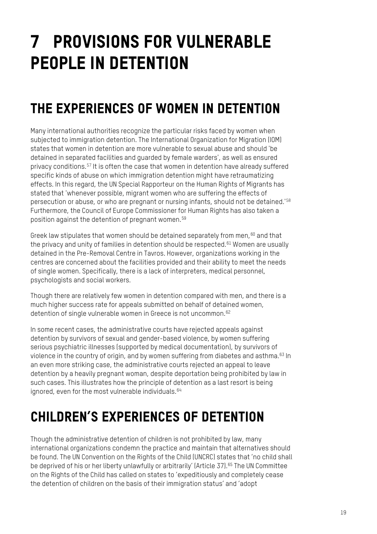## 7 PROVISIONS FOR VULNERABLE PEOPLE IN DETENTION

## THE EXPERIENCES OF WOMEN IN DETENTION

Many international authorities recognize the particular risks faced by women when subjected to immigration detention. The International Organization for Migration (IOM) states that women in detention are more vulnerable to sexual abuse and should 'be detained in separated facilities and guarded by female warders', as well as ensured privacy conditions.[57](#page-28-6) It is often the case that women in detention have already suffered specific kinds of abuse on which immigration detention might have retraumatizing effects. In this regard, the UN Special Rapporteur on the Human Rights of Migrants has stated that 'whenever possible, migrant women who are suffering the effects of persecution or abuse, or who are pregnant or nursing infants, should not be detained.'[58](#page-28-7) Furthermore, the Council of Europe Commissioner for Human Rights has also taken a position against the detention of pregnant women.[59](#page-28-8)

Greek law stipulates that women should be detained separately from men,  $60$  and that the privacy and unity of families in detention should be respected. [61](#page-28-10) Women are usually detained in the Pre-Removal Centre in Tavros. However, organizations working in the centres are concerned about the facilities provided and their ability to meet the needs of single women. Specifically, there is a lack of interpreters, medical personnel, psychologists and social workers.

Though there are relatively few women in detention compared with men, and there is a much higher success rate for appeals submitted on behalf of detained women, detention of single vulnerable women in Greece is not uncommon. [62](#page-28-11)

In some recent cases, the administrative courts have rejected appeals against detention by survivors of sexual and gender-based violence, by women suffering serious psychiatric illnesses (supported by medical documentation), by survivors of violence in the country of origin, and by women suffering from diabetes and asthma.<sup>[63](#page-28-12)</sup> In an even more striking case, the administrative courts rejected an appeal to leave detention by a heavily pregnant woman, despite deportation being prohibited by law in such cases. This illustrates how the principle of detention as a last resort is being ignored, even for the most vulnerable individuals. [64](#page-28-13)

## CHILDREN'S EXPERIENCES OF DETENTION

Though the administrative detention of children is not prohibited by law, many international organizations condemn the practice and maintain that alternatives should be found. The UN Convention on the Rights of the Child (UNCRC) states that 'no child shall be deprived of his or her liberty unlawfully or arbitrarily' (Article 37).<sup>[65](#page-28-14)</sup> The UN Committee on the Rights of the Child has called on states to 'expeditiously and completely cease the detention of children on the basis of their immigration status' and 'adopt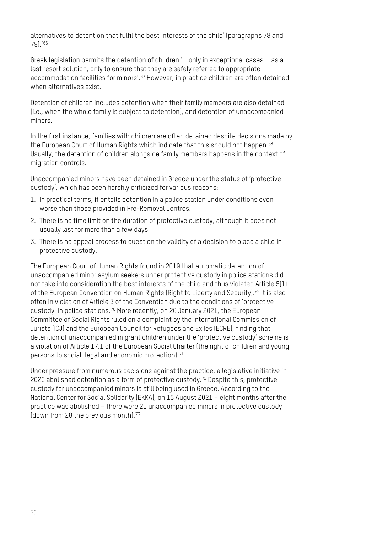alternatives to detention that fulfil the best interests of the child' (paragraphs 78 and 79).' [66](#page-28-15)

Greek legislation permits the detention of children '… only in exceptional cases … as a last resort solution, only to ensure that they are safely referred to appropriate accommodation facilities for minors'.<sup>[67](#page-28-16)</sup> However, in practice children are often detained when alternatives exist.

Detention of children includes detention when their family members are also detained (i.e., when the whole family is subject to detention), and detention of unaccompanied minors.

In the first instance, families with children are often detained despite decisions made by the European Court of Human Rights which indicate that this should not happen. [68](#page-28-17) Usually, the detention of children alongside family members happens in the context of migration controls.

Unaccompanied minors have been detained in Greece under the status of 'protective custody', which has been harshly criticized for various reasons:

- 1. In practical terms, it entails detention in a police station under conditions even worse than those provided in Pre-Removal Centres.
- 2. There is no time limit on the duration of protective custody, although it does not usually last for more than a few days.
- 3. There is no appeal process to question the validity of a decision to place a child in protective custody.

The European Court of Human Rights found in 2019 that automatic detention of unaccompanied minor asylum seekers under protective custody in police stations did not take into consideration the best interests of the child and thus violated Article 5(1) of the European Convention on Human Rights (Right to Liberty and Security).<sup>[69](#page-28-18)</sup> It is also often in violation of Article 3 of the Convention due to the conditions of 'protective custody' in police stations.[70](#page-28-19) More recently, on 26 January 2021, the European Committee of Social Rights ruled on a complaint by the International Commission of Jurists (ICJ) and the European Council for Refugees and Exiles (ECRE), finding that detention of unaccompanied migrant children under the 'protective custody' scheme is a violation of Article 17.1 of the European Social Charter (the right of children and young persons to social, legal and economic protection).<sup>[71](#page-28-20)</sup>

Under pressure from numerous decisions against the practice, a legislative initiative in 2020 abolished detention as a form of protective custody.[72](#page-28-21) Despite this, protective custody for unaccompanied minors is still being used in Greece. According to the National Center for Social Solidarity (EKKA), on 15 August 2021 – eight months after the practice was abolished – there were 21 unaccompanied minors in protective custody (down from 28 the previous month). [73](#page-28-22)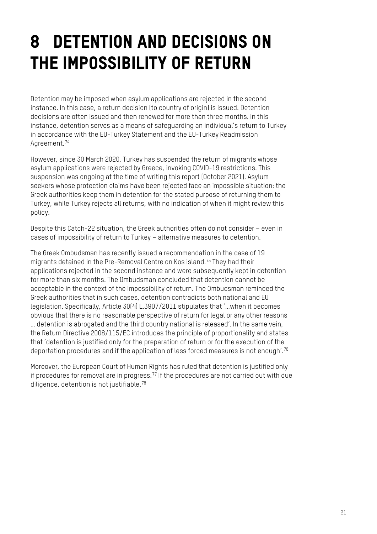## 8 DETENTION AND DECISIONS ON THE IMPOSSIBILITY OF RETURN

Detention may be imposed when asylum applications are rejected in the second instance. In this case, a return decision (to country of origin) is issued. Detention decisions are often issued and then renewed for more than three months. In this instance, detention serves as a means of safeguarding an individual's return to Turkey in accordance with the EU-Turkey Statement and the EU-Turkey Readmission Agreement.<sup>[74](#page-28-23)</sup>

However, since 30 March 2020, Turkey has suspended the return of migrants whose asylum applications were rejected by Greece, invoking COVID-19 restrictions. This suspension was ongoing at the time of writing this report (October 2021). Asylum seekers whose protection claims have been rejected face an impossible situation: the Greek authorities keep them in detention for the stated purpose of returning them to Turkey, while Turkey rejects all returns, with no indication of when it might review this policy.

Despite this Catch-22 situation, the Greek authorities often do not consider – even in cases of impossibility of return to Turkey – alternative measures to detention.

The Greek Ombudsman has recently issued a recommendation in the case of 19 migrants detained in the Pre-Removal Centre on Kos island.[75](#page-28-24) They had their applications rejected in the second instance and were subsequently kept in detention for more than six months. The Ombudsman concluded that detention cannot be acceptable in the context of the impossibility of return. The Ombudsman reminded the Greek authorities that in such cases, detention contradicts both national and EU legislation. Specifically, Article 30(4) L.3907/2011 stipulates that '…when it becomes obvious that there is no reasonable perspective of return for legal or any other reasons … detention is abrogated and the third country national is released'. In the same vein, the Return Directive 2008/115/EC introduces the principle of proportionality and states that 'detention is justified only for the preparation of return or for the execution of the deportation procedures and if the application of less forced measures is not enough'.  $^{76}$  $^{76}$  $^{76}$ 

Moreover, the European Court of Human Rights has ruled that detention is justified only if procedures for removal are in progress.<sup>[77](#page-29-0)</sup> If the procedures are not carried out with due diligence, detention is not justifiable. [78](#page-29-1)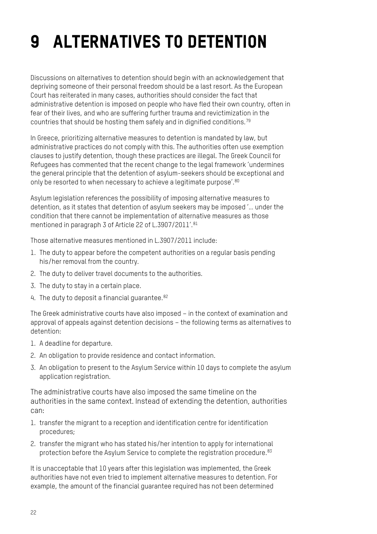## 9 ALTERNATIVES TO DETENTION

Discussions on alternatives to detention should begin with an acknowledgement that depriving someone of their personal freedom should be a last resort. As the European Court has reiterated in many cases, authorities should consider the fact that administrative detention is imposed on people who have fled their own country, often in fear of their lives, and who are suffering further trauma and revictimization in the countries that should be hosting them safely and in dignified conditions.  $^{79}$  $^{79}$  $^{79}$ 

In Greece, prioritizing alternative measures to detention is mandated by law, but administrative practices do not comply with this. The authorities often use exemption clauses to justify detention, though these practices are illegal. The Greek Council for Refugees has commented that the recent change to the legal framework 'undermines the general principle that the detention of asylum-seekers should be exceptional and only be resorted to when necessary to achieve a legitimate purpose'.<sup>[80](#page-29-3)</sup>

Asylum legislation references the possibility of imposing alternative measures to detention, as it states that detention of asylum seekers may be imposed '… under the condition that there cannot be implementation of alternative measures as those mentioned in paragraph 3 of Article 22 of L.3907/2011'.<sup>[81](#page-29-4)</sup>

Those alternative measures mentioned in L.3907/2011 include:

- 1. The duty to appear before the competent authorities on a regular basis pending his/her removal from the country.
- 2. The duty to deliver travel documents to the authorities.
- 3. The duty to stay in a certain place.
- 4. The duty to deposit a financial quarantee. [82](#page-29-5)

The Greek administrative courts have also imposed – in the context of examination and approval of appeals against detention decisions – the following terms as alternatives to detention:

- 1. A deadline for departure.
- 2. An obligation to provide residence and contact information.
- 3. An obligation to present to the Asylum Service within 10 days to complete the asylum application registration.

The administrative courts have also imposed the same timeline on the authorities in the same context. Instead of extending the detention, authorities can:

- 1. transfer the migrant to a reception and identification centre for identification procedures;
- 2. transfer the migrant who has stated his/her intention to apply for international protection before the Asylum Service to complete the registration procedure.<sup>[83](#page-29-6)</sup>

It is unacceptable that 10 years after this legislation was implemented, the Greek authorities have not even tried to implement alternative measures to detention. For example, the amount of the financial guarantee required has not been determined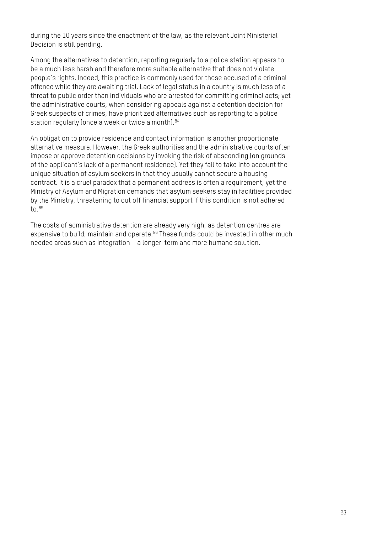during the 10 years since the enactment of the law, as the relevant Joint Ministerial Decision is still pending.

Among the alternatives to detention, reporting regularly to a police station appears to be a much less harsh and therefore more suitable alternative that does not violate people's rights. Indeed, this practice is commonly used for those accused of a criminal offence while they are awaiting trial. Lack of legal status in a country is much less of a threat to public order than individuals who are arrested for committing criminal acts; yet the administrative courts, when considering appeals against a detention decision for Greek suspects of crimes, have prioritized alternatives such as reporting to a police station regularly (once a week or twice a month). [84](#page-29-7)

An obligation to provide residence and contact information is another proportionate alternative measure. However, the Greek authorities and the administrative courts often impose or approve detention decisions by invoking the risk of absconding (on grounds of the applicant's lack of a permanent residence). Yet they fail to take into account the unique situation of asylum seekers in that they usually cannot secure a housing contract. It is a cruel paradox that a permanent address is often a requirement, yet the Ministry of Asylum and Migration demands that asylum seekers stay in facilities provided by the Ministry, threatening to cut off financial support if this condition is not adhered to  $85$ 

The costs of administrative detention are already very high, as detention centres are expensive to build, maintain and operate.<sup>[86](#page-29-9)</sup> These funds could be invested in other much needed areas such as integration – a longer-term and more humane solution.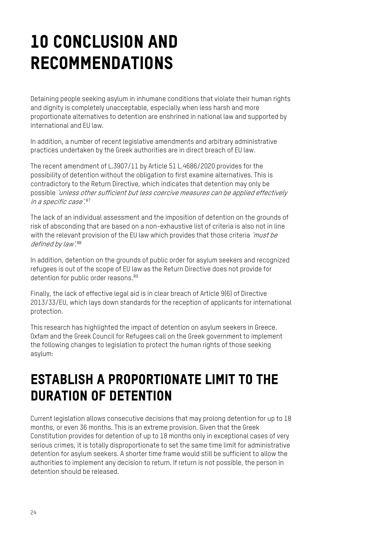## 10 CONCLUSION AND RECOMMENDATIONS

Detaining people seeking asylum in inhumane conditions that violate their human rights and dignity is completely unacceptable, especially when less harsh and more proportionate alternatives to detention are enshrined in national law and supported by international and EU law.

In addition, a number of recent legislative amendments and arbitrary administrative practices undertaken by the Greek authorities are in direct breach of EU law.

The recent amendment of L.3907/11 by Article 51 L.4686/2020 provides for the possibility of detention without the obligation to first examine alternatives. This is contradictory to the Return Directive, which indicates that detention may only be possible 'unless other sufficient but less coercive measures can be applied effectively in a specific case'. [87](#page-29-10)

The lack of an individual assessment and the imposition of detention on the grounds of risk of absconding that are based on a non-exhaustive list of criteria is also not in line with the relevant provision of the EU law which provides that those criteria 'must be defined by law'.<sup>[88](#page-29-11)</sup>

In addition, detention on the grounds of public order for asylum seekers and recognized refugees is out of the scope of EU law as the Return Directive does not provide for detention for public order reasons.<sup>[89](#page-29-12)</sup>

Finally, the lack of effective legal aid is in clear breach of Article 9(6) of Directive 2013/33/EU, which lays down standards for the reception of applicants for international protection.

This research has highlighted the impact of detention on asylum seekers in Greece. Oxfam and the Greek Council for Refugees call on the Greek government to implement the following changes to legislation to protect the human rights of those seeking asylum:

#### ESTABLISH A PROPORTIONATE LIMIT TO THE DURATION OF DETENTION

Current legislation allows consecutive decisions that may prolong detention for up to 18 months, or even 36 months. This is an extreme provision. Given that the Greek Constitution provides for detention of up to 18 months only in exceptional cases of very serious crimes, it is totally disproportionate to set the same time limit for administrative detention for asylum seekers. A shorter time frame would still be sufficient to allow the authorities to implement any decision to return. If return is not possible, the person in detention should be released.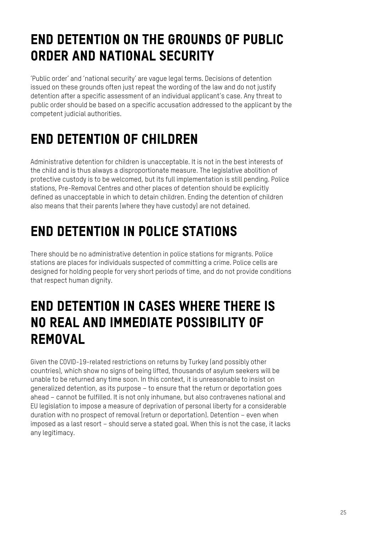## END DETENTION ON THE GROUNDS OF PUBLIC ORDER AND NATIONAL SECURITY

'Public order' and 'national security' are vague legal terms. Decisions of detention issued on these grounds often just repeat the wording of the law and do not justify detention after a specific assessment of an individual applicant's case. Any threat to public order should be based on a specific accusation addressed to the applicant by the competent judicial authorities.

## END DETENTION OF CHILDREN

Administrative detention for children is unacceptable. It is not in the best interests of the child and is thus always a disproportionate measure. The legislative abolition of protective custody is to be welcomed, but its full implementation is still pending. Police stations, Pre-Removal Centres and other places of detention should be explicitly defined as unacceptable in which to detain children. Ending the detention of children also means that their parents (where they have custody) are not detained.

## END DETENTION IN POLICE STATIONS

There should be no administrative detention in police stations for migrants. Police stations are places for individuals suspected of committing a crime. Police cells are designed for holding people for very short periods of time, and do not provide conditions that respect human dignity.

#### END DETENTION IN CASES WHERE THERE IS NO REAL AND IMMEDIATE POSSIBILITY OF REMOVAL

Given the COVID-19-related restrictions on returns by Turkey (and possibly other countries), which show no signs of being lifted, thousands of asylum seekers will be unable to be returned any time soon. In this context, it is unreasonable to insist on generalized detention, as its purpose – to ensure that the return or deportation goes ahead – cannot be fulfilled. It is not only inhumane, but also contravenes national and EU legislation to impose a measure of deprivation of personal liberty for a considerable duration with no prospect of removal (return or deportation). Detention – even when imposed as a last resort – should serve a stated goal. When this is not the case, it lacks any legitimacy.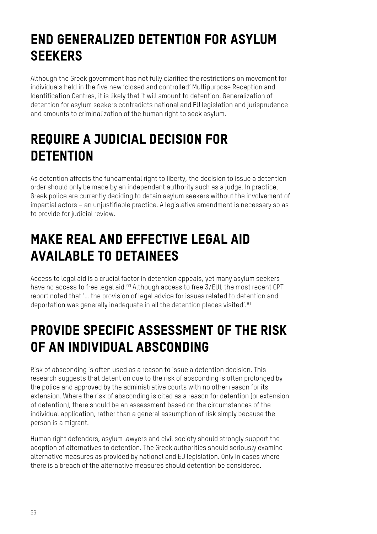## END GENERALIZED DETENTION FOR ASYLUM **SEEKERS**

Although the Greek government has not fully clarified the restrictions on movement for individuals held in the five new 'closed and controlled' Multipurpose Reception and Identification Centres, it is likely that it will amount to detention. Generalization of detention for asylum seekers contradicts national and EU legislation and jurisprudence and amounts to criminalization of the human right to seek asylum.

## REQUIRE A JUDICIAL DECISION FOR **DETENTION**

As detention affects the fundamental right to liberty, the decision to issue a detention order should only be made by an independent authority such as a judge. In practice, Greek police are currently deciding to detain asylum seekers without the involvement of impartial actors – an unjustifiable practice. A legislative amendment is necessary so as to provide for judicial review.

## MAKE REAL AND EFFECTIVE LEGAL AID AVAILABLE TO DETAINEES

Access to legal aid is a crucial factor in detention appeals, yet many asylum seekers have no access to free legal aid. $90$  Although access to free  $3/EU$ , the most recent CPT report noted that '… the provision of legal advice for issues related to detention and deportation was generally inadequate in all the detention places visited'.<sup>[91](#page-29-14)</sup>

## PROVIDE SPECIFIC ASSESSMENT OF THE RISK OF AN INDIVIDUAL ABSCONDING

Risk of absconding is often used as a reason to issue a detention decision. This research suggests that detention due to the risk of absconding is often prolonged by the police and approved by the administrative courts with no other reason for its extension. Where the risk of absconding is cited as a reason for detention (or extension of detention), there should be an assessment based on the circumstances of the individual application, rather than a general assumption of risk simply because the person is a migrant.

Human right defenders, asylum lawyers and civil society should strongly support the adoption of alternatives to detention. The Greek authorities should seriously examine alternative measures as provided by national and EU legislation. Only in cases where there is a breach of the alternative measures should detention be considered.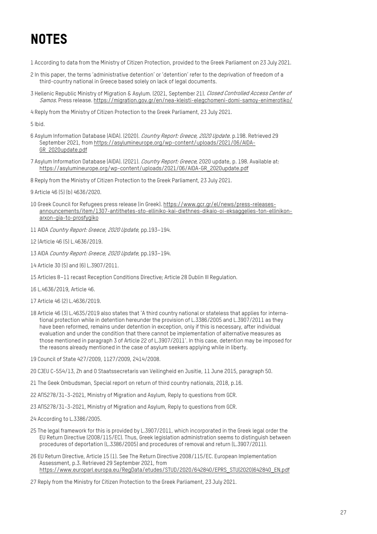## **NOTES**

- <span id="page-26-0"></span>1 According to data from the Ministry of Citizen Protection, provided to the Greek Parliament on 23 July 2021.
- <span id="page-26-1"></span>2 In this paper, the terms 'administrative detention' or 'detention' refer to the deprivation of freedom of a third-country national in Greece based solely on lack of legal documents.
- <span id="page-26-2"></span>3 Hellenic Republic Ministry of Migration & Asylum. (2021, September 21). Closed Controlled Access Center of Samos. Press release[. https://migration.gov.gr/en/nea-kleisti-elegchomeni-domi-samoy-enimerotiko/](https://migration.gov.gr/en/nea-kleisti-elegchomeni-domi-samoy-enimerotiko/)
- <span id="page-26-3"></span>4 Reply from the Ministry of Citizen Protection to the Greek Parliament, 23 July 2021.

<span id="page-26-4"></span>5 Ibid.

- <span id="page-26-5"></span>6 Asylum Information Database (AIDA). (2020). Country Report: Greece, 2020 Update. p.198. Retrieved 29 September 2021, fro[m https://asylumineurope.org/wp-content/uploads/2021/06/AIDA-](https://asylumineurope.org/wp-content/uploads/2021/06/AIDA-GR_2020update.pdf)[GR\\_2020update.pdf](https://asylumineurope.org/wp-content/uploads/2021/06/AIDA-GR_2020update.pdf)
- <span id="page-26-6"></span>7 Asylum Information Database (AIDA). (2021). Country Report: Greece, 2020 update, p. 198. Available at: [https://asylumineurope.org/wp-content/uploads/2021/06/AIDA-GR\\_2020update.pdf](https://asylumineurope.org/wp-content/uploads/2021/06/AIDA-GR_2020update.pdf)
- <span id="page-26-7"></span>8 Reply from the Ministry of Citizen Protection to the Greek Parliament, 23 July 2021.
- <span id="page-26-8"></span>9 Article 46 (5) (b) 4636/2020.
- <span id="page-26-9"></span>10 Greek Council for Refugees press release (in Greek)[. https://www.gcr.gr/el/news/press-releases](https://www.gcr.gr/el/news/press-releases-announcements/item/1307-antithetes-sto-elliniko-kai-diethnes-dikaio-oi-eksaggelies-ton-ellinikon-arxon-gia-to-prosfygiko)[announcements/item/1307-antithetes-sto-elliniko-kai-diethnes-dikaio-oi-eksaggelies-ton-ellinikon](https://www.gcr.gr/el/news/press-releases-announcements/item/1307-antithetes-sto-elliniko-kai-diethnes-dikaio-oi-eksaggelies-ton-ellinikon-arxon-gia-to-prosfygiko)[arxon-gia-to-prosfygiko](https://www.gcr.gr/el/news/press-releases-announcements/item/1307-antithetes-sto-elliniko-kai-diethnes-dikaio-oi-eksaggelies-ton-ellinikon-arxon-gia-to-prosfygiko)
- <span id="page-26-10"></span>11 AIDA Country Report: Greece, 2020 Update, pp.193–194.
- <span id="page-26-11"></span>12 (Article 46 (5) L.4636/2019.
- <span id="page-26-12"></span>13 AIDA Country Report: Greece, 2020 Update, pp.193–194.
- <span id="page-26-13"></span>14 Article 30 (5) and (6) L.3907/2011.
- <span id="page-26-14"></span>15 Articles 8–11 recast Reception Conditions Directive; Article 28 Dublin III Regulation.
- <span id="page-26-15"></span>16 L.4636/2019, Article 46.
- <span id="page-26-16"></span>17 Article 46 (2) L.4636/2019.
- <span id="page-26-17"></span>18 Article 46 (3) L.4635/2019 also states that 'A third country national or stateless that applies for international protection while in detention hereunder the provision of L.3386/2005 and L.3907/2011 as they have been reformed, remains under detention in exception, only if this is necessary, after individual evaluation and under the condition that there cannot be implementation of alternative measures as those mentioned in paragraph 3 of Article 22 of L.3907/2011'. In this case, detention may be imposed for the reasons already mentioned in the case of asylum seekers applying while in liberty.
- <span id="page-26-18"></span>19 Council of State 427/2009, 1127/2009, 2414/2008.
- <span id="page-26-19"></span>20 CJEU C-554/13, Zh and O Staatssecretaris van Veilingheid en Jusitie, 11 June 2015, paragraph 50.
- <span id="page-26-20"></span>21 The Geek Ombudsman, Special report on return of third country nationals, 2018, p.16.
- <span id="page-26-21"></span>22 ΑΠ5278/31-3-2021, Ministry of Migration and Asylum, Reply to questions from GCR.
- <span id="page-26-22"></span>23 ΑΠ5278/31-3-2021, Ministry of Migration and Asylum, Reply to questions from GCR.
- <span id="page-26-23"></span>24 According to L.3386/2005.
- <span id="page-26-24"></span>25 The legal framework for this is provided by L.3907/2011, which incorporated in the Greek legal order the EU Return Directive (2008/115/EC). Thus, Greek legislation administration seems to distinguish between procedures of deportation (L.3386/2005) and procedures of removal and return (L.3907/2011).
- <span id="page-26-25"></span>26 EU Return Directive, Article 15 (1). See The Return Directive 2008/115/EC. European Implementation Assessment, p.3. Retrieved 29 September 2021, from [https://www.europarl.europa.eu/RegData/etudes/STUD/2020/642840/EPRS\\_STU\(2020\)642840\\_EN.pdf](https://www.europarl.europa.eu/RegData/etudes/STUD/2020/642840/EPRS_STU(2020)642840_EN.pdf)
- <span id="page-26-26"></span>27 Reply from the Ministry for Citizen Protection to the Greek Parliament, 23 July 2021.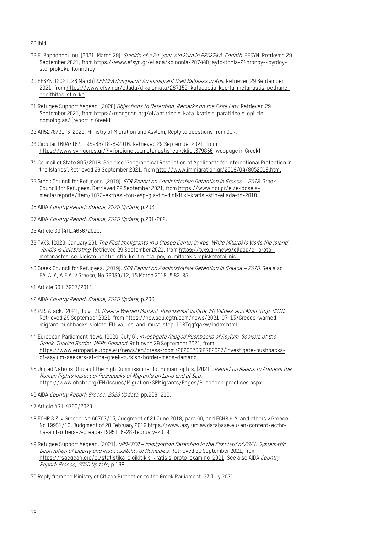<span id="page-27-0"></span>28 Ibid.

- <span id="page-27-1"></span>29 E. Papadopoulou. (2021, March 29). Suicide of a 24-year-old Kurd in PROKEKA, Corinth. EFSYN. Retrieved 29 September 2021, fro[m https://www.efsyn.gr/ellada/koinonia/287448\\_aytoktonia-24hronoy-koyrdoy](https://www.efsyn.gr/ellada/koinonia/287448_aytoktonia-24hronoy-koyrdoy-sto-prokeka-korinthoy)[sto-prokeka-korinthoy](https://www.efsyn.gr/ellada/koinonia/287448_aytoktonia-24hronoy-koyrdoy-sto-prokeka-korinthoy)
- <span id="page-27-2"></span>30 EFSYN. (2021, 26 March) KEERFA Complaint: An Immigrant Died Helpless in Kos. Retrieved 29 September 2021, fro[m https://www.efsyn.gr/ellada/dikaiomata/287152\\_kataggelia-keerfa-metanastis-pethane](https://www.efsyn.gr/ellada/dikaiomata/287152_kataggelia-keerfa-metanastis-pethane-aboithitos-stin-ko)[aboithitos-stin-ko](https://www.efsyn.gr/ellada/dikaiomata/287152_kataggelia-keerfa-metanastis-pethane-aboithitos-stin-ko)
- <span id="page-27-3"></span>31 Refugee Support Aegean. (2020) Objections to Detention: Remarks on the Case Law. Retrieved 29 September 2021, fro[m https://rsaegean.org/el/antirriseis-kata-kratisis-paratiriseis-epi-tis](https://rsaegean.org/el/antirriseis-kata-kratisis-paratiriseis-epi-tis-nomologias/)[nomologias/](https://rsaegean.org/el/antirriseis-kata-kratisis-paratiriseis-epi-tis-nomologias/) (report in Greek)
- <span id="page-27-4"></span>32 ΑΠ5278/31-3-2021, Ministry of Migration and Asylum, Reply to questions from GCR.
- <span id="page-27-5"></span>33 Circular 1604/16/1195968/18-6-2016. Retrieved 29 September 2021, from <https://www.synigoros.gr/?i=foreigner.el.metanastis-egkyklioi.379856> (webpage in Greek)
- <span id="page-27-6"></span>34 Council of State 805/2018. See also 'Geographical Restriction of Applicants for International Protection in the Islands'. Retrieved 29 September 2021, from<http://www.immigration.gr/2018/04/8052018.html>
- <span id="page-27-7"></span>35 Greek Council for Refugees. (2019). GCR Report on Administrative Detention in Greece – 2018. Greek Council for Refugees. Retrieved 29 September 2021, fro[m https://www.gcr.gr/el/ekdoseis](https://www.gcr.gr/el/ekdoseis-media/reports/item/1072-ekthesi-tou-esp-gia-tin-dioikitiki-kratisi-stin-ellada-to-2018)[media/reports/item/1072-ekthesi-tou-esp-gia-tin-dioikitiki-kratisi-stin-ellada-to-2018](https://www.gcr.gr/el/ekdoseis-media/reports/item/1072-ekthesi-tou-esp-gia-tin-dioikitiki-kratisi-stin-ellada-to-2018)
- <span id="page-27-8"></span>36 AIDA Country Report: Greece, 2020 Update, p.203.
- <span id="page-27-9"></span>37 AIDA Country Report: Greece, 2020 Update, p.201-202.
- <span id="page-27-10"></span>38 Article 39 (4) L.4636/2019.
- <span id="page-27-11"></span>39 TVXS. (2020, January 26). The First Immigrants in a Closed Center in Kos, While Mitarakis Visits the island -Voridis is Celebrating. Retrieved 29 September 2021, fro[m https://tvxs.gr/news/ellada/oi-protoi](https://tvxs.gr/news/ellada/oi-protoi-metanastes-se-kleisto-kentro-stin-ko-tin-ora-poy-o-mitarakis-episketetai-nisi-)[metanastes-se-kleisto-kentro-stin-ko-tin-ora-poy-o-mitarakis-episketetai-nisi-](https://tvxs.gr/news/ellada/oi-protoi-metanastes-se-kleisto-kentro-stin-ko-tin-ora-poy-o-mitarakis-episketetai-nisi-)
- <span id="page-27-12"></span>40 Greek Council for Refugees. (2019). GCR Report on Administrative Detention in Greece – 2018. See also ΕΔ Δ Α, Α.Ε.Α. v Greece, No 39034/12, 15 March 2018, § 82-85.
- <span id="page-27-13"></span>41 Article 30 L.3907/2011.
- <span id="page-27-14"></span>42 AIDA Country Report: Greece, 2020 Update, p.208.
- <span id="page-27-15"></span>43 P.R. Atack. (2021, July 13). Greece Warned Migrant 'Pushbacks' Violate 'EU Values' and Must Stop. CGTN. Retrieved 29 September 2021, fro[m https://newseu.cgtn.com/news/2021-07-13/Greece-warned](https://newseu.cgtn.com/news/2021-07-13/Greece-warned-migrant-pushbacks-violate-EU-values-and-must-stop-11RTqgfqakw/index.html)[migrant-pushbacks-violate-EU-values-and-must-stop-11RTqgfqakw/index.html](https://newseu.cgtn.com/news/2021-07-13/Greece-warned-migrant-pushbacks-violate-EU-values-and-must-stop-11RTqgfqakw/index.html)
- <span id="page-27-16"></span>44 European Parliament News. (2020, July 6). Investigate Alleged Pushbacks of Asylum-Seekers at the Greek-Turkish Border, MEPs Demand. Retrieved 29 September 2021, from [https://www.europarl.europa.eu/news/en/press-room/20200703IPR82627/investigate-pushbacks](https://www.europarl.europa.eu/news/en/press-room/20200703IPR82627/investigate-pushbacks-of-asylum-seekers-at-the-greek-turkish-border-meps-demand)[of-asylum-seekers-at-the-greek-turkish-border-meps-demand](https://www.europarl.europa.eu/news/en/press-room/20200703IPR82627/investigate-pushbacks-of-asylum-seekers-at-the-greek-turkish-border-meps-demand)
- <span id="page-27-17"></span>45 United Nations Office of the High Commissioner for Human Rights. (2021). Report on Means to Address the Human Rights Impact of Pushbacks of Migrants on Land and at Sea. <https://www.ohchr.org/EN/Issues/Migration/SRMigrants/Pages/Pushback-practices.aspx>
- <span id="page-27-18"></span>46 AIDA Country Report: Greece, 2020 Update, pp.209–210.
- <span id="page-27-19"></span>47 Article 43 L.4760/2020.
- <span id="page-27-20"></span>48 ECHR S.Z. v Greece, No 66702/13, Judgment of 21 June 2018, para 40, and ECHR H.A. and others v Greece, No 19951/16, Judgment of 28 February 201[9 https://www.asylumlawdatabase.eu/en/content/ecthr](https://www.asylumlawdatabase.eu/en/content/ecthr-ha-and-others-v-greece-1995116-28-february-2019)[ha-and-others-v-greece-1995116-28-february-2019](https://www.asylumlawdatabase.eu/en/content/ecthr-ha-and-others-v-greece-1995116-28-february-2019)
- <span id="page-27-21"></span>49 Refugee Support Aegean. (2021). UPDATED - Immigration Detention in the First Half of 2021: Systematic Deprivation of Liberty and Inaccessibility of Remedies. Retrieved 29 September 2021, from [https://rsaegean.org/el/statistika-dioikitikis-kratisis-proto-examino-2021.](https://rsaegean.org/el/statistika-dioikitikis-kratisis-proto-examino-2021) See also AIDA Country Report: Greece, 2020 Update, p.198.

<span id="page-27-22"></span>50 Reply from the Ministry of Citizen Protection to the Greek Parliament, 23 July 2021.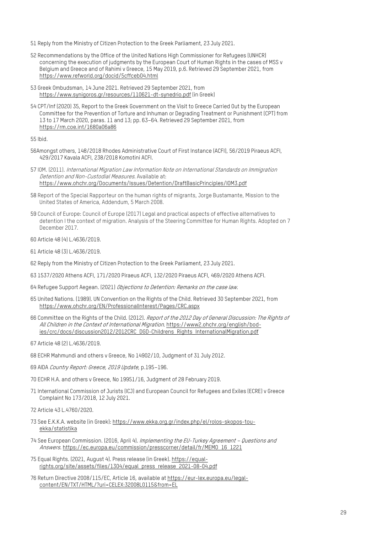- <span id="page-28-0"></span>51 Reply from the Ministry of Citizen Protection to the Greek Parliament, 23 July 2021.
- <span id="page-28-1"></span>52 Recommendations by the Office of the United Nations High Commissioner for Refugees (UNHCR) concerning the execution of judgments by the European Court of Human Rights in the cases of MSS v Belgium and Greece and of Rahimi v Greece, 15 May 2019, p.6. Retrieved 29 September 2021, from <https://www.refworld.org/docid/5cffceb04.html>
- <span id="page-28-2"></span>53 Greek Ombudsman, 14 June 2021. Retrieved 29 September 2021, from <https://www.synigoros.gr/resources/110621-dt-synedrio.pdf> (in Greek)
- <span id="page-28-3"></span>54 CPT/Inf (2020) 35, Report to the Greek Government on the Visit to Greece Carried Out by the European Committee for the Prevention of Torture and Inhuman or Degrading Treatment or Punishment (CPT) from 13 to 17 March 2020, paras. 11 and 13; pp. 63–64. Retrieved 29 September 2021, from <https://rm.coe.int/1680a06a86>

<span id="page-28-4"></span>55 Ibid.

- <span id="page-28-5"></span>56Amongst others, 148/2018 Rhodes Administrative Court of First Instance (ACFI), 56/2019 Piraeus ACFI, 429/2017 Kavala ACFI, 238/2018 Komotini ACFI.
- <span id="page-28-6"></span>57 IOM. (2011). International Migration Law Information Note on International Standards on Immigration Detention and Non-Custodial Measures. Available at: <https://www.ohchr.org/Documents/Issues/Detention/DraftBasicPrinciples/IOM3.pdf>
- <span id="page-28-7"></span>58 Report of the Special Rapporteur on the human rights of migrants, Jorge Bustamante, Mission to the United States of America, Addendum, 5 March 2008.
- <span id="page-28-8"></span>59 Council of Europe: Council of Europe (2017) Legal and practical aspects of effective alternatives to detention I the context of migration. Analysis of the Steering Committee for Human Rights. Adopted on 7 December 2017.
- <span id="page-28-9"></span>60 Article 48 (4) L.4636/2019.
- <span id="page-28-10"></span>61 Article 48 (3) L.4636/2019.
- <span id="page-28-11"></span>62 Reply from the Ministry of Citizen Protection to the Greek Parliament, 23 July 2021.
- <span id="page-28-12"></span>63 1537/2020 Athens ACFI, 171/2020 Piraeus ACFI, 132/2020 Piraeus ACFI, 469/2020 Athens ACFI.
- <span id="page-28-13"></span>64 Refugee Support Aegean. (2021) Objections to Detention: Remarks on the case law.
- <span id="page-28-14"></span>65 United Nations. (1989). UN Convention on the Rights of the Child. Retrieved 30 September 2021, from <https://www.ohchr.org/EN/ProfessionalInterest/Pages/CRC.aspx>
- <span id="page-28-15"></span>66 Committee on the Rights of the Child. (2012). Report of the 2012 Day of General Discussion: The Rights of All Children in the Context of International Migration. [https://www2.ohchr.org/english/bod](https://www2.ohchr.org/english/bodies/crc/docs/discussion2012/2012CRC_DGD-Childrens_Rights_InternationalMigration.pdf)[ies/crc/docs/discussion2012/2012CRC\\_DGD-Childrens\\_Rights\\_InternationalMigration.pdf](https://www2.ohchr.org/english/bodies/crc/docs/discussion2012/2012CRC_DGD-Childrens_Rights_InternationalMigration.pdf)
- <span id="page-28-16"></span>67 Article 48 (2) L.4636/2019.
- <span id="page-28-17"></span>68 ECHR Mahmundi and others v Greece, No 14902/10, Judgment of 31 July 2012.
- <span id="page-28-18"></span>69 AIDA Country Report: Greece, 2019 Update, p.195–196.
- <span id="page-28-19"></span>70 ECHR H.A. and others v Greece, No 19951/16, Judgment of 28 February 2019.
- <span id="page-28-20"></span>71 International Commission of Jurists (ICJ) and European Council for Refugees and Exiles (ECRE) v Greece Complaint No 173/2018, 12 July 2021.
- <span id="page-28-21"></span>72 Article 43 L.4760/2020.
- <span id="page-28-22"></span>73 See E.K.K.A. website (in Greek): [https://www.ekka.org.gr/index.php/el/rolos-skopos-tou](https://www.ekka.org.gr/index.php/el/rolos-skopos-tou-ekka/statistika)[ekka/statistika](https://www.ekka.org.gr/index.php/el/rolos-skopos-tou-ekka/statistika)
- <span id="page-28-23"></span>74 See European Commission. (2016, April 4). Implementing the EU-Turkey Agreement - Questions and Answers. [https://ec.europa.eu/commission/presscorner/detail/fr/MEMO\\_16\\_1221](https://ec.europa.eu/commission/presscorner/detail/fr/MEMO_16_1221)
- <span id="page-28-24"></span>75 Equal Rights. (2021, August 4). Press release (in Greek)[. https://equal](https://equal-rights.org/site/assets/files/1304/equal_press_release_2021-08-04.pdf)[rights.org/site/assets/files/1304/equal\\_press\\_release\\_2021-08-04.pdf](https://equal-rights.org/site/assets/files/1304/equal_press_release_2021-08-04.pdf)
- <span id="page-28-25"></span>76 Return Directive 2008/115/EC, Article 16, available a[t https://eur-lex.europa.eu/legal](https://eur-lex.europa.eu/legal-content/EN/TXT/HTML/?uri=CELEX:32008L0115&from=EL)[content/EN/TXT/HTML/?uri=CELEX:32008L0115&from=EL](https://eur-lex.europa.eu/legal-content/EN/TXT/HTML/?uri=CELEX:32008L0115&from=EL)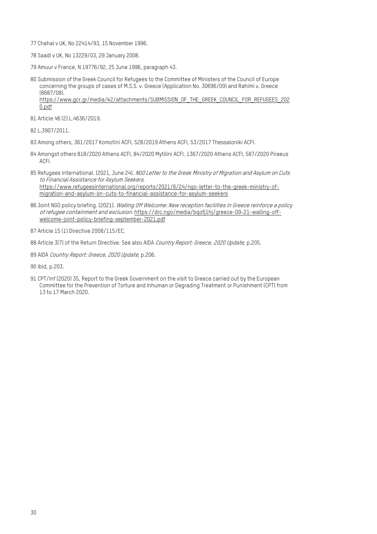- <span id="page-29-0"></span>77 Chahal v UK, No 22414/93, 15 November 1996.
- <span id="page-29-1"></span>78 Saadi v UK, No 13229/03, 29 January 2008.
- <span id="page-29-2"></span>79 Amuur v France, N 19776/92, 25 June 1996, paragraph 43.

<span id="page-29-3"></span>80 Submission of the Greek Council for Refugees to the Committee of Ministers of the Council of Europe concerning the groups of cases of M.S.S. v. Greece (Application No. 30696/09) and Rahimi v. Greece (8687/08). [https://www.gcr.gr/media/k2/attachments/SUBMISSION\\_OF\\_THE\\_GREEK\\_COUNCIL\\_FOR\\_REFUGEES\\_202](https://www.gcr.gr/media/k2/attachments/SUBMISSION_OF_THE_GREEK_COUNCIL_FOR_REFUGEES_2020.pdf) [0.pdf](https://www.gcr.gr/media/k2/attachments/SUBMISSION_OF_THE_GREEK_COUNCIL_FOR_REFUGEES_2020.pdf)

- <span id="page-29-4"></span>81 Article 46 (2) L.4636/2019.
- <span id="page-29-5"></span>82 L.3907/2011.
- <span id="page-29-6"></span>83 Among others, 361/2017 Komotini ACFI, 528/2019 Athens ACFI, 53/2017 Thessaloniki ACFI.
- <span id="page-29-7"></span>84 Amongst others 818/2020 Athens ACFI, 84/2020 Mytilini ACFI, 1367/2020 Athens ACFI, 587/2020 Piraeus ACFI.
- <span id="page-29-8"></span>85 Refugees International. (2021, June 24). NGO Letter to the Greek Ministry of Migration and Asylum on Cuts to Financial Assistance for Asylum Seekers. [https://www.refugeesinternational.org/reports/2021/6/24/ngo-letter-to-the-greek-ministry-of](https://www.refugeesinternational.org/reports/2021/6/24/ngo-letter-to-the-greek-ministry-of-migration-and-asylum-on-cuts-to-financial-assistance-for-asylum-seekers)[migration-and-asylum-on-cuts-to-financial-assistance-for-asylum-seekers](https://www.refugeesinternational.org/reports/2021/6/24/ngo-letter-to-the-greek-ministry-of-migration-and-asylum-on-cuts-to-financial-assistance-for-asylum-seekers)
- <span id="page-29-9"></span>86 Joint NGO policy briefing. (2021). Walling Off Welcome: New reception facilities in Greece reinforce a policy of refugee containment and exclusion. [https://drc.ngo/media/bqofj1hj/greece-09-21-walling-off](https://drc.ngo/media/bqofj1hj/greece-09-21-walling-off-welcome-joint-policy-briefing-september-2021.pdf)[welcome-joint-policy-briefing-september-2021.pdf](https://drc.ngo/media/bqofj1hj/greece-09-21-walling-off-welcome-joint-policy-briefing-september-2021.pdf)
- <span id="page-29-10"></span>87 Article 15 (1) Directive 2008/115/EC.
- <span id="page-29-11"></span>88 Article 3(7) of the Return Directive. See also AIDA Country Report: Greece, 2020 Update, p.205.
- <span id="page-29-12"></span>89 AIDA Country Report: Greece, 2020 Update, p.206.
- <span id="page-29-13"></span>90 Ibid, p.203.
- <span id="page-29-14"></span>91 CPT/Inf (2020) 35, Report to the Greek Government on the visit to Greece carried out by the European Committee for the Prevention of Torture and Inhuman or Degrading Treatment or Punishment (CPT) from 13 to 17 March 2020.